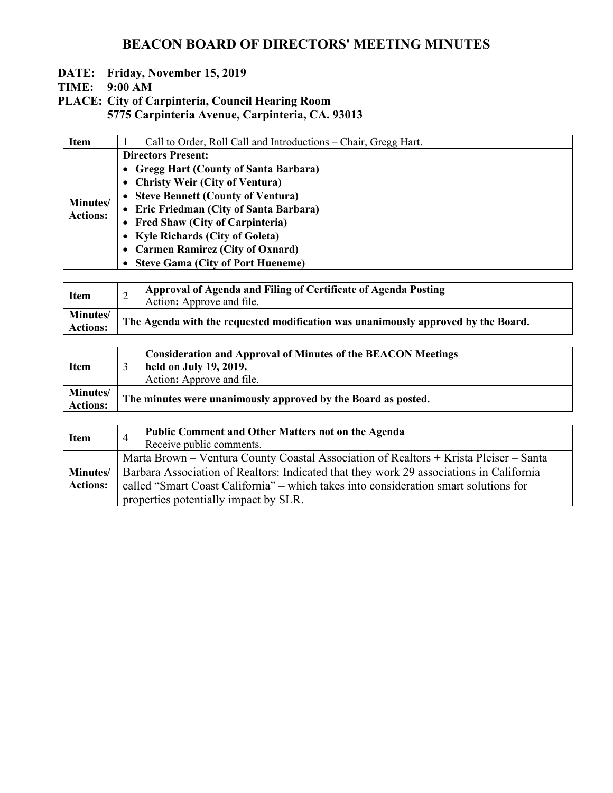- **DATE: Friday, November 15, 2019**
- **TIME: 9:00 AM**
- **PLACE: City of Carpinteria, Council Hearing Room 5775 Carpinteria Avenue, Carpinteria, CA. 93013**

| <b>Item</b>                         | Call to Order, Roll Call and Introductions – Chair, Gregg Hart. |
|-------------------------------------|-----------------------------------------------------------------|
|                                     | <b>Directors Present:</b>                                       |
|                                     | • Gregg Hart (County of Santa Barbara)                          |
|                                     | • Christy Weir (City of Ventura)                                |
|                                     | • Steve Bennett (County of Ventura)                             |
| <b>Minutes</b> /<br><b>Actions:</b> | • Eric Friedman (City of Santa Barbara)                         |
|                                     | • Fred Shaw (City of Carpinteria)                               |
|                                     | • Kyle Richards (City of Goleta)                                |
|                                     | • Carmen Ramirez (City of Oxnard)                               |
|                                     | • Steve Gama (City of Port Hueneme)                             |

| <b>Item</b>                 | Approval of Agenda and Filing of Certificate of Agenda Posting<br>Action: Approve and file. |
|-----------------------------|---------------------------------------------------------------------------------------------|
| Minutes/<br><b>Actions:</b> | The Agenda with the requested modification was unanimously approved by the Board.           |

| <b>Item</b>                 | <b>Consideration and Approval of Minutes of the BEACON Meetings</b><br>held on July 19, 2019.<br>Action: Approve and file. |
|-----------------------------|----------------------------------------------------------------------------------------------------------------------------|
| Minutes/<br><b>Actions:</b> | The minutes were unanimously approved by the Board as posted.                                                              |

| <b>Item</b>                         | $\overline{4}$ | <b>Public Comment and Other Matters not on the Agenda</b><br>Receive public comments.                                                                                                                                                                                                                             |
|-------------------------------------|----------------|-------------------------------------------------------------------------------------------------------------------------------------------------------------------------------------------------------------------------------------------------------------------------------------------------------------------|
| <b>Minutes</b> /<br><b>Actions:</b> |                | Marta Brown – Ventura County Coastal Association of Realtors + Krista Pleiser – Santa<br>Barbara Association of Realtors: Indicated that they work 29 associations in California<br>called "Smart Coast California" – which takes into consideration smart solutions for<br>properties potentially impact by SLR. |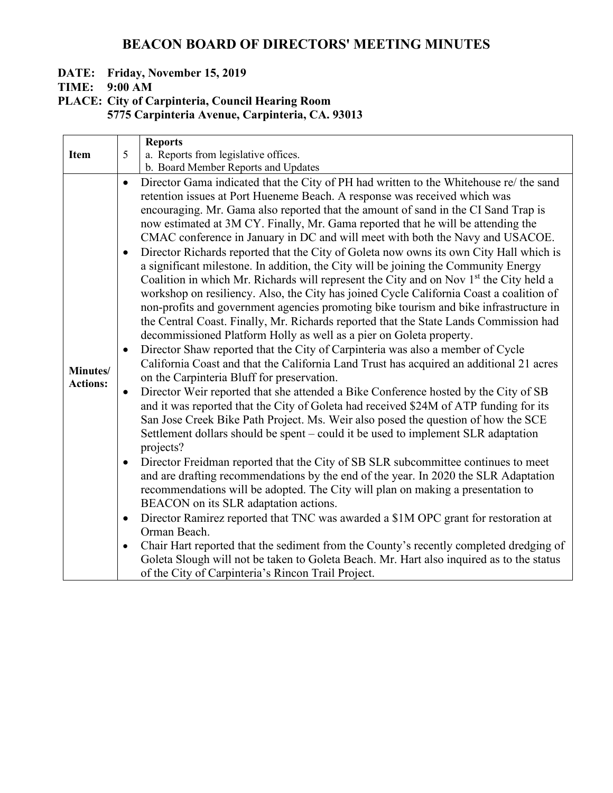#### **DATE: Friday, November 15, 2019**

**TIME: 9:00 AM**

**PLACE: City of Carpinteria, Council Hearing Room 5775 Carpinteria Avenue, Carpinteria, CA. 93013**

|                             |           | <b>Reports</b>                                                                                     |
|-----------------------------|-----------|----------------------------------------------------------------------------------------------------|
| <b>Item</b>                 | 5         | a. Reports from legislative offices.                                                               |
|                             |           | b. Board Member Reports and Updates                                                                |
|                             | $\bullet$ | Director Gama indicated that the City of PH had written to the Whitehouse re/ the sand             |
|                             |           | retention issues at Port Hueneme Beach. A response was received which was                          |
|                             |           | encouraging. Mr. Gama also reported that the amount of sand in the CI Sand Trap is                 |
|                             |           | now estimated at 3M CY. Finally, Mr. Gama reported that he will be attending the                   |
|                             |           | CMAC conference in January in DC and will meet with both the Navy and USACOE.                      |
|                             | $\bullet$ | Director Richards reported that the City of Goleta now owns its own City Hall which is             |
|                             |           | a significant milestone. In addition, the City will be joining the Community Energy                |
|                             |           | Coalition in which Mr. Richards will represent the City and on Nov 1 <sup>st</sup> the City held a |
|                             |           | workshop on resiliency. Also, the City has joined Cycle California Coast a coalition of            |
|                             |           | non-profits and government agencies promoting bike tourism and bike infrastructure in              |
|                             |           | the Central Coast. Finally, Mr. Richards reported that the State Lands Commission had              |
|                             |           | decommissioned Platform Holly as well as a pier on Goleta property.                                |
|                             | $\bullet$ | Director Shaw reported that the City of Carpinteria was also a member of Cycle                     |
|                             |           | California Coast and that the California Land Trust has acquired an additional 21 acres            |
| Minutes/<br><b>Actions:</b> |           | on the Carpinteria Bluff for preservation.                                                         |
|                             | $\bullet$ | Director Weir reported that she attended a Bike Conference hosted by the City of SB                |
|                             |           | and it was reported that the City of Goleta had received \$24M of ATP funding for its              |
|                             |           | San Jose Creek Bike Path Project. Ms. Weir also posed the question of how the SCE                  |
|                             |           | Settlement dollars should be spent – could it be used to implement SLR adaptation                  |
|                             |           | projects?                                                                                          |
|                             | $\bullet$ | Director Freidman reported that the City of SB SLR subcommittee continues to meet                  |
|                             |           | and are drafting recommendations by the end of the year. In 2020 the SLR Adaptation                |
|                             |           | recommendations will be adopted. The City will plan on making a presentation to                    |
|                             |           | BEACON on its SLR adaptation actions.                                                              |
|                             | $\bullet$ | Director Ramirez reported that TNC was awarded a \$1M OPC grant for restoration at                 |
|                             |           | Orman Beach.                                                                                       |
|                             | $\bullet$ | Chair Hart reported that the sediment from the County's recently completed dredging of             |
|                             |           | Goleta Slough will not be taken to Goleta Beach. Mr. Hart also inquired as to the status           |
|                             |           | of the City of Carpinteria's Rincon Trail Project.                                                 |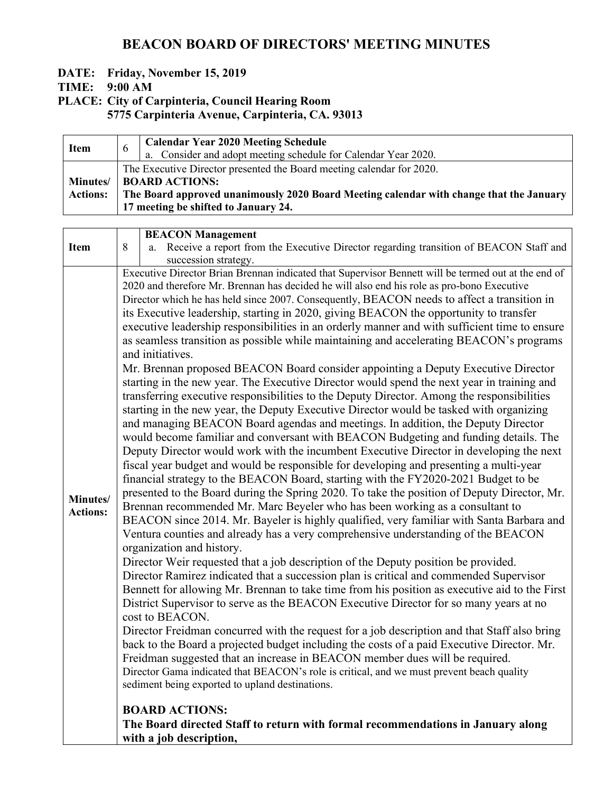#### **DATE: Friday, November 15, 2019**

**TIME: 9:00 AM**

**PLACE: City of Carpinteria, Council Hearing Room**

| <b>Item</b>                         | $\sigma$ | <b>Calendar Year 2020 Meeting Schedule</b><br>a. Consider and adopt meeting schedule for Calendar Year 2020.                                                                              |
|-------------------------------------|----------|-------------------------------------------------------------------------------------------------------------------------------------------------------------------------------------------|
| <b>Minutes</b> /<br><b>Actions:</b> |          | The Executive Director presented the Board meeting calendar for 2020.<br><b>BOARD ACTIONS:</b><br>The Board approved unanimously 2020 Board Meeting calendar with change that the January |
|                                     |          | 17 meeting be shifted to January 24.                                                                                                                                                      |

|                             |   | <b>BEACON Management</b>                                                                                                                                                                                                                                                                                                                                                                                                                                                                                                                                                                                                                                                                                                                                                                                                                                                                                                                                                                                                                                                                                                                                                                                                                                                                                                                                                                                                                                                                                                                                                                                                                                                                                                                                                                                                                                                                                                                                                                                                                                                                                                                                                                                                                                                                                                                                                                                                                                                                                                                                                                                                                                                                                                                                                                                  |
|-----------------------------|---|-----------------------------------------------------------------------------------------------------------------------------------------------------------------------------------------------------------------------------------------------------------------------------------------------------------------------------------------------------------------------------------------------------------------------------------------------------------------------------------------------------------------------------------------------------------------------------------------------------------------------------------------------------------------------------------------------------------------------------------------------------------------------------------------------------------------------------------------------------------------------------------------------------------------------------------------------------------------------------------------------------------------------------------------------------------------------------------------------------------------------------------------------------------------------------------------------------------------------------------------------------------------------------------------------------------------------------------------------------------------------------------------------------------------------------------------------------------------------------------------------------------------------------------------------------------------------------------------------------------------------------------------------------------------------------------------------------------------------------------------------------------------------------------------------------------------------------------------------------------------------------------------------------------------------------------------------------------------------------------------------------------------------------------------------------------------------------------------------------------------------------------------------------------------------------------------------------------------------------------------------------------------------------------------------------------------------------------------------------------------------------------------------------------------------------------------------------------------------------------------------------------------------------------------------------------------------------------------------------------------------------------------------------------------------------------------------------------------------------------------------------------------------------------------------------------|
| <b>Item</b>                 | 8 | Receive a report from the Executive Director regarding transition of BEACON Staff and<br>a.                                                                                                                                                                                                                                                                                                                                                                                                                                                                                                                                                                                                                                                                                                                                                                                                                                                                                                                                                                                                                                                                                                                                                                                                                                                                                                                                                                                                                                                                                                                                                                                                                                                                                                                                                                                                                                                                                                                                                                                                                                                                                                                                                                                                                                                                                                                                                                                                                                                                                                                                                                                                                                                                                                               |
|                             |   | succession strategy.                                                                                                                                                                                                                                                                                                                                                                                                                                                                                                                                                                                                                                                                                                                                                                                                                                                                                                                                                                                                                                                                                                                                                                                                                                                                                                                                                                                                                                                                                                                                                                                                                                                                                                                                                                                                                                                                                                                                                                                                                                                                                                                                                                                                                                                                                                                                                                                                                                                                                                                                                                                                                                                                                                                                                                                      |
| Minutes/<br><b>Actions:</b> |   | Executive Director Brian Brennan indicated that Supervisor Bennett will be termed out at the end of<br>2020 and therefore Mr. Brennan has decided he will also end his role as pro-bono Executive<br>Director which he has held since 2007. Consequently, BEACON needs to affect a transition in<br>its Executive leadership, starting in 2020, giving BEACON the opportunity to transfer<br>executive leadership responsibilities in an orderly manner and with sufficient time to ensure<br>as seamless transition as possible while maintaining and accelerating BEACON's programs<br>and initiatives.<br>Mr. Brennan proposed BEACON Board consider appointing a Deputy Executive Director<br>starting in the new year. The Executive Director would spend the next year in training and<br>transferring executive responsibilities to the Deputy Director. Among the responsibilities<br>starting in the new year, the Deputy Executive Director would be tasked with organizing<br>and managing BEACON Board agendas and meetings. In addition, the Deputy Director<br>would become familiar and conversant with BEACON Budgeting and funding details. The<br>Deputy Director would work with the incumbent Executive Director in developing the next<br>fiscal year budget and would be responsible for developing and presenting a multi-year<br>financial strategy to the BEACON Board, starting with the FY2020-2021 Budget to be<br>presented to the Board during the Spring 2020. To take the position of Deputy Director, Mr.<br>Brennan recommended Mr. Marc Beyeler who has been working as a consultant to<br>BEACON since 2014. Mr. Bayeler is highly qualified, very familiar with Santa Barbara and<br>Ventura counties and already has a very comprehensive understanding of the BEACON<br>organization and history.<br>Director Weir requested that a job description of the Deputy position be provided.<br>Director Ramirez indicated that a succession plan is critical and commended Supervisor<br>Bennett for allowing Mr. Brennan to take time from his position as executive aid to the First<br>District Supervisor to serve as the BEACON Executive Director for so many years at no<br>cost to BEACON.<br>Director Freidman concurred with the request for a job description and that Staff also bring<br>back to the Board a projected budget including the costs of a paid Executive Director. Mr.<br>Freidman suggested that an increase in BEACON member dues will be required.<br>Director Gama indicated that BEACON's role is critical, and we must prevent beach quality<br>sediment being exported to upland destinations.<br><b>BOARD ACTIONS:</b><br>The Board directed Staff to return with formal recommendations in January along<br>with a job description, |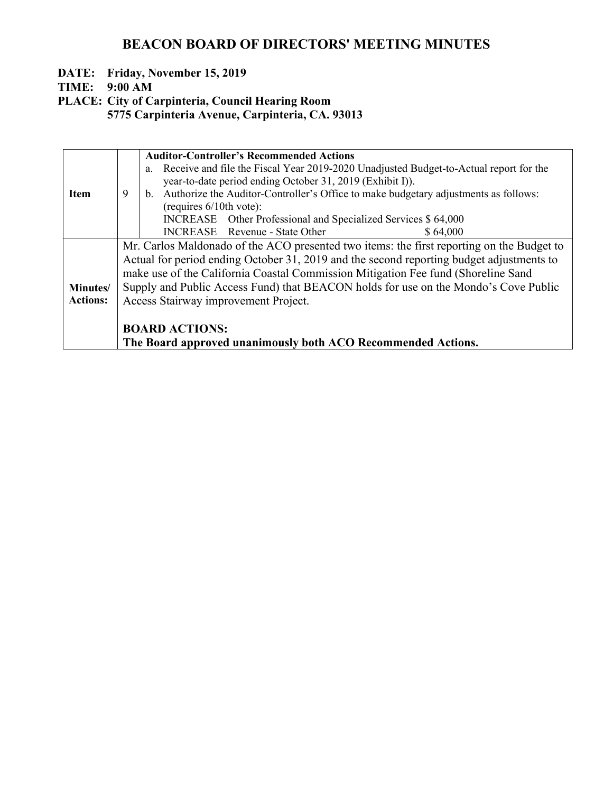#### **DATE: Friday, November 15, 2019**

**TIME: 9:00 AM**

**PLACE: City of Carpinteria, Council Hearing Room**

|                 |                                                                                   | <b>Auditor-Controller's Recommended Actions</b>                                             |  |  |  |
|-----------------|-----------------------------------------------------------------------------------|---------------------------------------------------------------------------------------------|--|--|--|
|                 |                                                                                   | Receive and file the Fiscal Year 2019-2020 Unadjusted Budget-to-Actual report for the<br>a. |  |  |  |
|                 |                                                                                   | year-to-date period ending October 31, 2019 (Exhibit I)).                                   |  |  |  |
| <b>Item</b>     | 9                                                                                 | b. Authorize the Auditor-Controller's Office to make budgetary adjustments as follows:      |  |  |  |
|                 |                                                                                   | (requires $6/10$ th vote):                                                                  |  |  |  |
|                 |                                                                                   | INCREASE Other Professional and Specialized Services \$ 64,000                              |  |  |  |
|                 |                                                                                   | INCREASE Revenue - State Other<br>\$64,000                                                  |  |  |  |
|                 |                                                                                   | Mr. Carlos Maldonado of the ACO presented two items: the first reporting on the Budget to   |  |  |  |
|                 |                                                                                   | Actual for period ending October 31, 2019 and the second reporting budget adjustments to    |  |  |  |
|                 | make use of the California Coastal Commission Mitigation Fee fund (Shoreline Sand |                                                                                             |  |  |  |
| Minutes/        |                                                                                   | Supply and Public Access Fund) that BEACON holds for use on the Mondo's Cove Public         |  |  |  |
| <b>Actions:</b> |                                                                                   | Access Stairway improvement Project.                                                        |  |  |  |
|                 |                                                                                   |                                                                                             |  |  |  |
|                 |                                                                                   |                                                                                             |  |  |  |
|                 |                                                                                   | <b>BOARD ACTIONS:</b>                                                                       |  |  |  |
|                 |                                                                                   | The Board approved unanimously both ACO Recommended Actions.                                |  |  |  |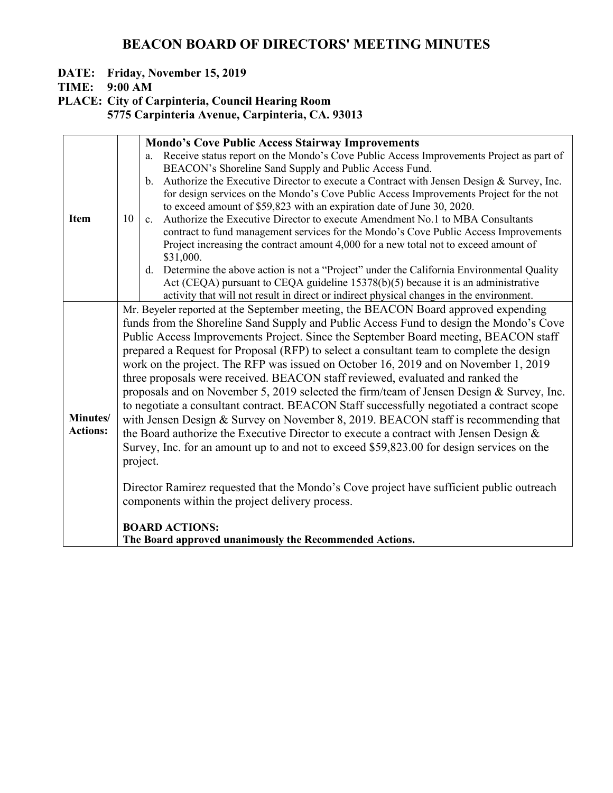#### **DATE: Friday, November 15, 2019**

**TIME: 9:00 AM**

**PLACE: City of Carpinteria, Council Hearing Room**

|                 |                                                                                           | <b>Mondo's Cove Public Access Stairway Improvements</b>                                                  |  |  |  |
|-----------------|-------------------------------------------------------------------------------------------|----------------------------------------------------------------------------------------------------------|--|--|--|
|                 |                                                                                           | Receive status report on the Mondo's Cove Public Access Improvements Project as part of<br>a.            |  |  |  |
|                 |                                                                                           | BEACON's Shoreline Sand Supply and Public Access Fund.                                                   |  |  |  |
|                 |                                                                                           | b. Authorize the Executive Director to execute a Contract with Jensen Design & Survey, Inc.              |  |  |  |
|                 |                                                                                           | for design services on the Mondo's Cove Public Access Improvements Project for the not                   |  |  |  |
|                 |                                                                                           | to exceed amount of \$59,823 with an expiration date of June 30, 2020.                                   |  |  |  |
| <b>Item</b>     | 10                                                                                        | Authorize the Executive Director to execute Amendment No.1 to MBA Consultants<br>$c_{\cdot}$             |  |  |  |
|                 |                                                                                           | contract to fund management services for the Mondo's Cove Public Access Improvements                     |  |  |  |
|                 |                                                                                           | Project increasing the contract amount 4,000 for a new total not to exceed amount of                     |  |  |  |
|                 |                                                                                           | \$31,000.<br>d. Determine the above action is not a "Project" under the California Environmental Quality |  |  |  |
|                 |                                                                                           | Act (CEQA) pursuant to CEQA guideline 15378(b)(5) because it is an administrative                        |  |  |  |
|                 |                                                                                           | activity that will not result in direct or indirect physical changes in the environment.                 |  |  |  |
|                 |                                                                                           | Mr. Beyeler reported at the September meeting, the BEACON Board approved expending                       |  |  |  |
|                 |                                                                                           | funds from the Shoreline Sand Supply and Public Access Fund to design the Mondo's Cove                   |  |  |  |
|                 | Public Access Improvements Project. Since the September Board meeting, BEACON staff       |                                                                                                          |  |  |  |
|                 | prepared a Request for Proposal (RFP) to select a consultant team to complete the design  |                                                                                                          |  |  |  |
|                 | work on the project. The RFP was issued on October 16, 2019 and on November 1, 2019       |                                                                                                          |  |  |  |
|                 | three proposals were received. BEACON staff reviewed, evaluated and ranked the            |                                                                                                          |  |  |  |
|                 | proposals and on November 5, 2019 selected the firm/team of Jensen Design & Survey, Inc.  |                                                                                                          |  |  |  |
|                 |                                                                                           |                                                                                                          |  |  |  |
| Minutes/        | to negotiate a consultant contract. BEACON Staff successfully negotiated a contract scope |                                                                                                          |  |  |  |
| <b>Actions:</b> |                                                                                           | with Jensen Design & Survey on November 8, 2019. BEACON staff is recommending that                       |  |  |  |
|                 |                                                                                           | the Board authorize the Executive Director to execute a contract with Jensen Design $\&$                 |  |  |  |
|                 | Survey, Inc. for an amount up to and not to exceed \$59,823.00 for design services on the |                                                                                                          |  |  |  |
|                 |                                                                                           | project.                                                                                                 |  |  |  |
|                 |                                                                                           |                                                                                                          |  |  |  |
|                 | Director Ramirez requested that the Mondo's Cove project have sufficient public outreach  |                                                                                                          |  |  |  |
|                 | components within the project delivery process.                                           |                                                                                                          |  |  |  |
|                 |                                                                                           | <b>BOARD ACTIONS:</b>                                                                                    |  |  |  |
|                 |                                                                                           | The Board approved unanimously the Recommended Actions.                                                  |  |  |  |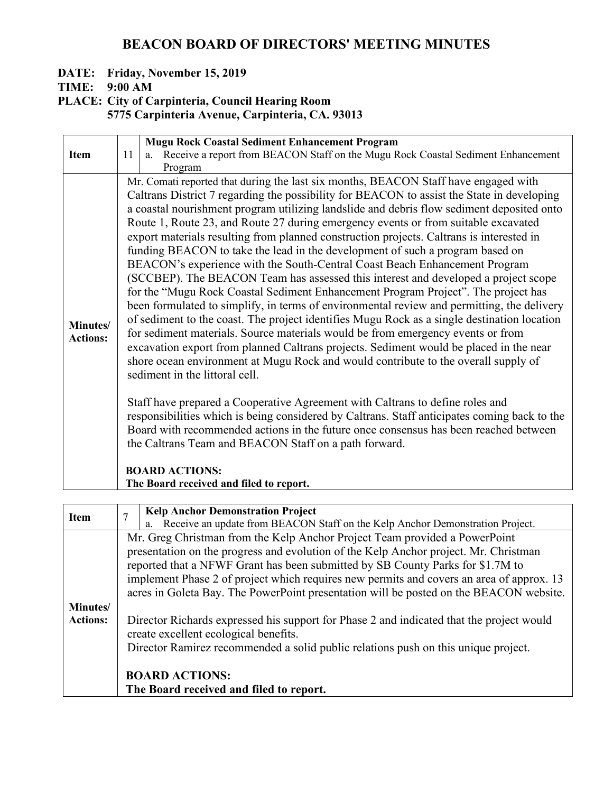#### **DATE: Friday, November 15, 2019**

**TIME: 9:00 AM**

### **PLACE: City of Carpinteria, Council Hearing Room**

|                 |                                                                                      | <b>Mugu Rock Coastal Sediment Enhancement Program</b>                                        |  |  |  |  |  |
|-----------------|--------------------------------------------------------------------------------------|----------------------------------------------------------------------------------------------|--|--|--|--|--|
| <b>Item</b>     | 11                                                                                   | Receive a report from BEACON Staff on the Mugu Rock Coastal Sediment Enhancement<br>a.       |  |  |  |  |  |
|                 |                                                                                      | Program                                                                                      |  |  |  |  |  |
|                 |                                                                                      | Mr. Comati reported that during the last six months, BEACON Staff have engaged with          |  |  |  |  |  |
|                 |                                                                                      | Caltrans District 7 regarding the possibility for BEACON to assist the State in developing   |  |  |  |  |  |
|                 |                                                                                      | a coastal nourishment program utilizing landslide and debris flow sediment deposited onto    |  |  |  |  |  |
|                 |                                                                                      | Route 1, Route 23, and Route 27 during emergency events or from suitable excavated           |  |  |  |  |  |
|                 |                                                                                      | export materials resulting from planned construction projects. Caltrans is interested in     |  |  |  |  |  |
|                 |                                                                                      | funding BEACON to take the lead in the development of such a program based on                |  |  |  |  |  |
|                 |                                                                                      | BEACON's experience with the South-Central Coast Beach Enhancement Program                   |  |  |  |  |  |
|                 |                                                                                      | (SCCBEP). The BEACON Team has assessed this interest and developed a project scope           |  |  |  |  |  |
|                 |                                                                                      | for the "Mugu Rock Coastal Sediment Enhancement Program Project". The project has            |  |  |  |  |  |
|                 |                                                                                      | been formulated to simplify, in terms of environmental review and permitting, the delivery   |  |  |  |  |  |
| Minutes/        |                                                                                      | of sediment to the coast. The project identifies Mugu Rock as a single destination location  |  |  |  |  |  |
| <b>Actions:</b> |                                                                                      | for sediment materials. Source materials would be from emergency events or from              |  |  |  |  |  |
|                 |                                                                                      | excavation export from planned Caltrans projects. Sediment would be placed in the near       |  |  |  |  |  |
|                 |                                                                                      | shore ocean environment at Mugu Rock and would contribute to the overall supply of           |  |  |  |  |  |
|                 |                                                                                      | sediment in the littoral cell.                                                               |  |  |  |  |  |
|                 |                                                                                      | Staff have prepared a Cooperative Agreement with Caltrans to define roles and                |  |  |  |  |  |
|                 |                                                                                      | responsibilities which is being considered by Caltrans. Staff anticipates coming back to the |  |  |  |  |  |
|                 | Board with recommended actions in the future once consensus has been reached between |                                                                                              |  |  |  |  |  |
|                 | the Caltrans Team and BEACON Staff on a path forward.                                |                                                                                              |  |  |  |  |  |
|                 |                                                                                      |                                                                                              |  |  |  |  |  |
|                 |                                                                                      | <b>BOARD ACTIONS:</b>                                                                        |  |  |  |  |  |
|                 |                                                                                      | The Board received and filed to report.                                                      |  |  |  |  |  |
|                 |                                                                                      |                                                                                              |  |  |  |  |  |

| <b>Item</b>     |                                                                                          | <b>Kelp Anchor Demonstration Project</b>                                                                                          |  |  |
|-----------------|------------------------------------------------------------------------------------------|-----------------------------------------------------------------------------------------------------------------------------------|--|--|
|                 |                                                                                          | Receive an update from BEACON Staff on the Kelp Anchor Demonstration Project.<br>a.                                               |  |  |
|                 |                                                                                          | Mr. Greg Christman from the Kelp Anchor Project Team provided a PowerPoint                                                        |  |  |
|                 | presentation on the progress and evolution of the Kelp Anchor project. Mr. Christman     |                                                                                                                                   |  |  |
|                 |                                                                                          | reported that a NFWF Grant has been submitted by SB County Parks for \$1.7M to                                                    |  |  |
|                 | implement Phase 2 of project which requires new permits and covers an area of approx. 13 |                                                                                                                                   |  |  |
|                 |                                                                                          | acres in Goleta Bay. The PowerPoint presentation will be posted on the BEACON website.                                            |  |  |
| Minutes/        |                                                                                          |                                                                                                                                   |  |  |
| <b>Actions:</b> |                                                                                          | Director Richards expressed his support for Phase 2 and indicated that the project would<br>create excellent ecological benefits. |  |  |
|                 |                                                                                          |                                                                                                                                   |  |  |
|                 |                                                                                          | Director Ramirez recommended a solid public relations push on this unique project.                                                |  |  |
|                 |                                                                                          |                                                                                                                                   |  |  |
|                 |                                                                                          | <b>BOARD ACTIONS:</b>                                                                                                             |  |  |
|                 |                                                                                          | The Board received and filed to report.                                                                                           |  |  |